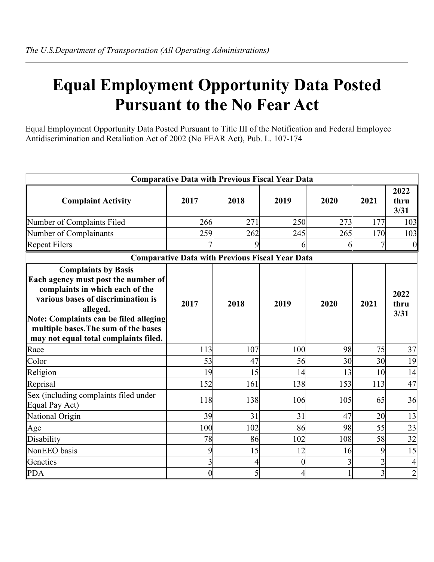## **Equal Employment Opportunity Data Posted Pursuant to the No Fear Act**

Equal Employment Opportunity Data Posted Pursuant to Title III of the Notification and Federal Employee Antidiscrimination and Retaliation Act of 2002 (No FEAR Act), Pub. L. 107-174

|                                                                                                                                                                                                                                                                                   |                  |                | <b>Comparative Data with Previous Fiscal Year Data</b> |              |                |                      |
|-----------------------------------------------------------------------------------------------------------------------------------------------------------------------------------------------------------------------------------------------------------------------------------|------------------|----------------|--------------------------------------------------------|--------------|----------------|----------------------|
| <b>Complaint Activity</b>                                                                                                                                                                                                                                                         | 2017             | 2018           | 2019                                                   | 2020         | 2021           | 2022<br>thru<br>3/31 |
| Number of Complaints Filed                                                                                                                                                                                                                                                        | 266              | 271            | 250                                                    | 273          | 177            | 103                  |
| Number of Complainants                                                                                                                                                                                                                                                            | 259              | 262            | 245                                                    | 265          | 170            | 103                  |
| <b>Repeat Filers</b>                                                                                                                                                                                                                                                              |                  | 9              | 6                                                      | 6            | 7              | $\mathbf{0}$         |
|                                                                                                                                                                                                                                                                                   |                  |                | <b>Comparative Data with Previous Fiscal Year Data</b> |              |                |                      |
| <b>Complaints by Basis</b><br>Each agency must post the number of<br>complaints in which each of the<br>various bases of discrimination is<br>alleged.<br>Note: Complaints can be filed alleging<br>multiple bases. The sum of the bases<br>may not equal total complaints filed. | 2017             | 2018           | 2019                                                   | 2020         | 2021           | 2022<br>thru<br>3/31 |
| Race                                                                                                                                                                                                                                                                              | 113              | 107            | 100                                                    | 98           | 75             | 37                   |
| Color                                                                                                                                                                                                                                                                             | 53               | 47             | 56                                                     | 30           | 30             | 19                   |
| Religion                                                                                                                                                                                                                                                                          | 19               | 15             | 14                                                     | 13           | 10             | 14                   |
| Reprisal                                                                                                                                                                                                                                                                          | 152              | 161            | 138                                                    | 153          | 113            | 47                   |
| Sex (including complaints filed under<br>Equal Pay Act)                                                                                                                                                                                                                           | 118              | 138            | 106                                                    | 105          | 65             | 36                   |
| National Origin                                                                                                                                                                                                                                                                   | 39               | 31             | 31                                                     | 47           | 20             | 13                   |
| Age                                                                                                                                                                                                                                                                               | 100              | 102            | 86                                                     | 98           | 55             | 23                   |
| Disability                                                                                                                                                                                                                                                                        | 78               | 86             | 102                                                    | 108          | 58             | 32                   |
| NonEEO basis                                                                                                                                                                                                                                                                      | 9                | 15             | 12                                                     | 16           | 9              | 15                   |
| Genetics                                                                                                                                                                                                                                                                          | 3 <sub>l</sub>   | $\overline{4}$ | $\overline{0}$                                         | 3            | $\overline{2}$ | $\overline{4}$       |
| <b>PDA</b>                                                                                                                                                                                                                                                                        | $\boldsymbol{0}$ | $\mathfrak{h}$ | $\overline{4}$                                         | $\mathbf{1}$ | $\overline{3}$ | $\overline{2}$       |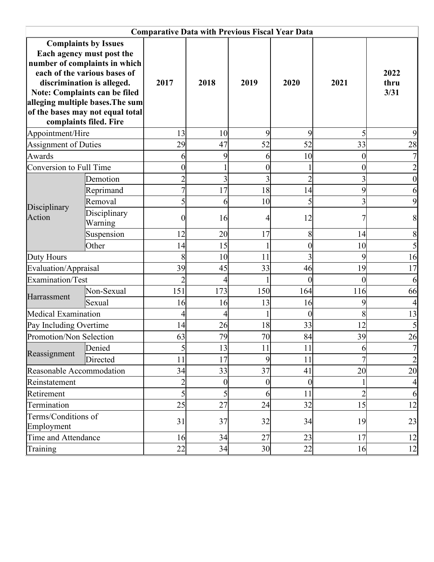|                                   |                                                                                                                                                                                                                                                                                            | <b>Comparative Data with Previous Fiscal Year Data</b> |                  |                |                  |                  |                          |
|-----------------------------------|--------------------------------------------------------------------------------------------------------------------------------------------------------------------------------------------------------------------------------------------------------------------------------------------|--------------------------------------------------------|------------------|----------------|------------------|------------------|--------------------------|
|                                   | <b>Complaints by Issues</b><br>Each agency must post the<br>number of complaints in which<br>each of the various bases of<br>discrimination is alleged.<br>Note: Complaints can be filed<br>alleging multiple bases. The sum<br>of the bases may not equal total<br>complaints filed. Fire | 2017                                                   | 2018             | 2019           | 2020             | 2021             | 2022<br>thru<br>3/31     |
| Appointment/Hire                  |                                                                                                                                                                                                                                                                                            | 13                                                     | 10               | 9              | 9                | 5                |                          |
| <b>Assignment of Duties</b>       |                                                                                                                                                                                                                                                                                            | 29                                                     | 47               | 52             | 52               | 33               | 28                       |
| Awards                            |                                                                                                                                                                                                                                                                                            | 6                                                      | 9                | 6              | 10               | $\boldsymbol{0}$ |                          |
| Conversion to Full Time           |                                                                                                                                                                                                                                                                                            |                                                        |                  | $\overline{0}$ |                  | $\boldsymbol{0}$ |                          |
|                                   | Demotion                                                                                                                                                                                                                                                                                   |                                                        | 3                | 3              | $\overline{2}$   | 3                |                          |
|                                   | Reprimand                                                                                                                                                                                                                                                                                  |                                                        | 17               | 18             | 14               | 9                | 6                        |
| Disciplinary                      | Removal                                                                                                                                                                                                                                                                                    | 5                                                      | 6                | 10             | 5                | 3                | 9                        |
| Action                            | Disciplinary<br>Warning                                                                                                                                                                                                                                                                    | 0                                                      | 16               | 4              | 12               |                  | 8                        |
|                                   | Suspension                                                                                                                                                                                                                                                                                 | 12                                                     | 20               | 17             | 8                | 14               | 8                        |
|                                   | Other                                                                                                                                                                                                                                                                                      | 14                                                     | 15               | 1              | $\boldsymbol{0}$ | 10               |                          |
| Duty Hours                        |                                                                                                                                                                                                                                                                                            | 8                                                      | 10               | 11             | 3                | 9                | 16                       |
| Evaluation/Appraisal              |                                                                                                                                                                                                                                                                                            | 39                                                     | 45               | 33             | 46               | 19               | 17                       |
| Examination/Test                  |                                                                                                                                                                                                                                                                                            | $\overline{2}$                                         | 4                |                | $\theta$         | $\overline{0}$   | 6                        |
| Harrassment                       | Non-Sexual                                                                                                                                                                                                                                                                                 | 151                                                    | 173              | 150            | 164              | 116              | 66                       |
|                                   | Sexual                                                                                                                                                                                                                                                                                     | 16                                                     | 16               | 13             | 16               | 9                |                          |
| Medical Examination               |                                                                                                                                                                                                                                                                                            | 4                                                      | 4                |                | $\overline{0}$   | 8                | 13                       |
| Pay Including Overtime            |                                                                                                                                                                                                                                                                                            | 14                                                     | 26               | 18             | 33               | 12               |                          |
| Promotion/Non Selection           |                                                                                                                                                                                                                                                                                            | 63                                                     | 79               | 70             | 84               | 39               | 26                       |
| Reassignment                      | Denied                                                                                                                                                                                                                                                                                     | 5                                                      | 13               | 11             | 11               | 6                | $\overline{\mathcal{L}}$ |
|                                   | Directed                                                                                                                                                                                                                                                                                   | 11                                                     | 17               | 9              | 11               |                  | $\overline{c}$           |
| Reasonable Accommodation          |                                                                                                                                                                                                                                                                                            | 34                                                     | 33               | 37             | 41               | 20               | 20                       |
| Reinstatement                     |                                                                                                                                                                                                                                                                                            | $\overline{c}$                                         | $\boldsymbol{0}$ | $\overline{0}$ | $\boldsymbol{0}$ | 1                | $\overline{4}$           |
| Retirement                        |                                                                                                                                                                                                                                                                                            | 5                                                      | 5                | 6              | 11               | $\overline{2}$   | 6                        |
| Termination                       |                                                                                                                                                                                                                                                                                            | 25                                                     | 27               | 24             | 32               | 15               | 12                       |
| Terms/Conditions of<br>Employment |                                                                                                                                                                                                                                                                                            | 31                                                     | 37               | 32             | 34               | 19               | 23                       |
| Time and Attendance               |                                                                                                                                                                                                                                                                                            | 16                                                     | 34               | 27             | 23               | 17               | 12                       |
| Training                          |                                                                                                                                                                                                                                                                                            | 22                                                     | 34               | 30             | 22               | 16               | 12                       |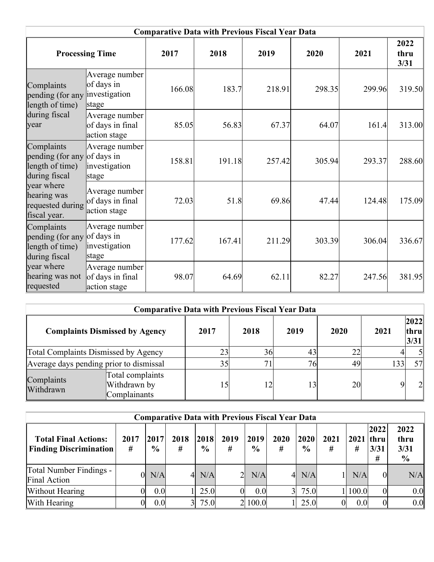|                                                                    |                                                        |        | <b>Comparative Data with Previous Fiscal Year Data</b> |        |        |        |                      |
|--------------------------------------------------------------------|--------------------------------------------------------|--------|--------------------------------------------------------|--------|--------|--------|----------------------|
|                                                                    | <b>Processing Time</b>                                 | 2017   | 2018                                                   | 2019   | 2020   | 2021   | 2022<br>thru<br>3/31 |
| Complaints<br>pending (for any<br>length of time)                  | Average number<br>of days in<br>investigation<br>stage | 166.08 | 183.7                                                  | 218.91 | 298.35 | 299.96 | 319.50               |
| during fiscal<br>year                                              | Average number<br>of days in final<br>action stage     | 85.05  | 56.83                                                  | 67.37  | 64.07  | 161.4  | 313.00               |
| Complaints<br>pending (for any<br>length of time)<br>during fiscal | Average number<br>of days in<br>investigation<br>stage | 158.81 | 191.18                                                 | 257.42 | 305.94 | 293.37 | 288.60               |
| year where<br>hearing was<br>requested during<br>fiscal year.      | Average number<br>of days in final<br>action stage     | 72.03  | 51.8                                                   | 69.86  | 47.44  | 124.48 | 175.09               |
| Complaints<br>pending (for any<br>length of time)<br>during fiscal | Average number<br>of days in<br>investigation<br>stage | 177.62 | 167.41                                                 | 211.29 | 303.39 | 306.04 | 336.67               |
| year where<br>hearing was not<br>requested                         | Average number<br>of days in final<br>action stage     | 98.07  | 64.69                                                  | 62.11  | 82.27  | 247.56 | 381.95               |

|                                         | <b>Comparative Data with Previous Fiscal Year Data</b> |      |      |      |      |                |                      |
|-----------------------------------------|--------------------------------------------------------|------|------|------|------|----------------|----------------------|
|                                         | <b>Complaints Dismissed by Agency</b>                  | 2017 | 2018 | 2019 | 2020 | 2021           | 2022<br>thru<br>3/31 |
| Total Complaints Dismissed by Agency    | 23                                                     | 36   | 43   | 22   |      | $\mathfrak{S}$ |                      |
| Average days pending prior to dismissal |                                                        | 35   |      | 76   | 49   | 1331           | 57                   |
| Complaints<br>Withdrawn                 | Total complaints<br>Withdrawn by<br>Complainants       | l 5  | 12   | 13   | 20   |                | $\overline{2}$       |

| <b>Comparative Data with Previous Fiscal Year Data</b>       |           |                       |                |                       |           |                        |                |                       |           |                  |                                  |                                       |  |  |
|--------------------------------------------------------------|-----------|-----------------------|----------------|-----------------------|-----------|------------------------|----------------|-----------------------|-----------|------------------|----------------------------------|---------------------------------------|--|--|
| <b>Total Final Actions:</b><br><b>Finding Discrimination</b> | 2017<br># | 2017<br>$\frac{6}{6}$ | 2018<br>#      | 2018<br>$\frac{0}{0}$ | 2019<br># | 2019<br>$\frac{6}{10}$ | 2020<br>#      | 2020<br>$\frac{6}{6}$ | 2021<br># | 2021<br>#        | 2022<br><b>thru</b><br>3/31<br># | 2022<br>thru<br>3/31<br>$\frac{6}{9}$ |  |  |
| Total Number Findings -<br>Final Action                      | Ol        | N/A                   | $\frac{1}{2}$  | N/A                   |           | N/A                    | $\overline{4}$ | N/A                   |           | N/A              | $\Omega$                         | N/A                                   |  |  |
| Without Hearing                                              | 0         | 0.0                   |                | 25.0                  |           | 0.0                    | 3 <sup>l</sup> | 75.0                  |           | $\vert$ 100.0    |                                  | 0.0                                   |  |  |
| With Hearing                                                 | 0         | 0.0                   | 3 <sup>1</sup> | 75.0                  |           | 2 100.0                |                | 25.0                  |           | 0.0 <sub>l</sub> | $\overline{0}$                   | 0.0                                   |  |  |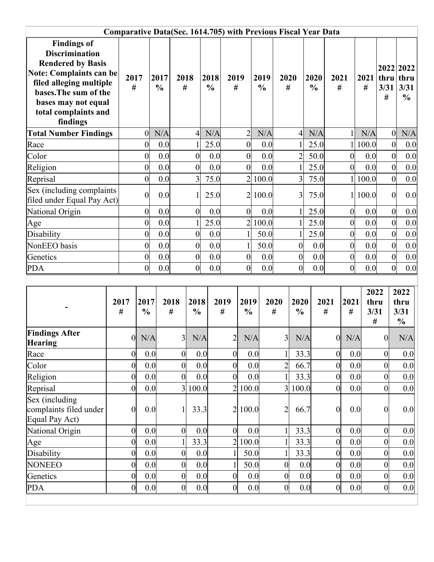|                                                                                                                                                                                                                          | <b>Comparative Data(Sec. 1614.705) with Previous Fiscal Year Data</b> |                       |                       |                  |                       |                       |                  |                       |                       |                  |                         |                       |                  |                  |                           |                   |                                            |
|--------------------------------------------------------------------------------------------------------------------------------------------------------------------------------------------------------------------------|-----------------------------------------------------------------------|-----------------------|-----------------------|------------------|-----------------------|-----------------------|------------------|-----------------------|-----------------------|------------------|-------------------------|-----------------------|------------------|------------------|---------------------------|-------------------|--------------------------------------------|
| <b>Findings of</b><br><b>Discrimination</b><br><b>Rendered by Basis</b><br><b>Note: Complaints can be</b><br>filed alleging multiple<br>bases. The sum of the<br>bases may not equal<br>total complaints and<br>findings |                                                                       | 2017<br>#             | 2017<br>$\frac{0}{0}$ | 2018<br>#        |                       | 2018<br>$\frac{0}{0}$ | 2019<br>#        |                       | 2019<br>$\frac{0}{0}$ |                  | 2020<br>#               | 2020<br>$\frac{0}{0}$ | 2021<br>#        |                  | 2021<br>#                 | thru<br>3/31<br># | 2022 2022<br>thru<br>3/31<br>$\frac{0}{0}$ |
| <b>Total Number Findings</b>                                                                                                                                                                                             |                                                                       | $\vert 0 \vert$       | N/A                   |                  | $\overline{4}$        | N/A                   |                  | $\overline{c}$        |                       | N/A              | $\overline{4}$          | N/A                   |                  | 1                | N/A                       | $\overline{0}$    | N/A                                        |
| Race                                                                                                                                                                                                                     |                                                                       | $\overline{0}$        | 0.0                   |                  |                       | 25.0                  |                  | $\overline{0}$        |                       | 0.0              | $\mathbf{1}$            | 25.0                  |                  | $\mathbf{1}$     | 100.0                     | $\mathbf{0}$      | 0.0                                        |
| Color                                                                                                                                                                                                                    |                                                                       | $\overline{0}$        | 0.0                   |                  | $\boldsymbol{0}$      | 0.0                   |                  | $\overline{0}$        |                       | 0.0              | $\overline{2}$          | 50.0                  |                  | $\boldsymbol{0}$ | 0.0                       | $\mathbf{0}$      | 0.0                                        |
| Religion                                                                                                                                                                                                                 |                                                                       | $\overline{0}$        | 0.0                   |                  | $\overline{0}$        | 0.0                   |                  | $\overline{0}$        |                       | 0.0              | $\mathbf{1}$            | 25.0                  |                  | $\overline{0}$   | 0.0                       | $\overline{0}$    | 0.0                                        |
| Reprisal                                                                                                                                                                                                                 |                                                                       | $\overline{0}$        | 0.0                   |                  | 3                     | 75.0                  |                  |                       | 2 100.0               |                  | $\overline{3}$          | 75.0                  |                  | 1 <sup>1</sup>   | 100.0                     | $\mathbf{0}$      | 0.0                                        |
| Sex (including complaints<br>filed under Equal Pay Act)                                                                                                                                                                  |                                                                       | $\overline{0}$        | 0.0                   |                  |                       | 25.0                  |                  |                       | 2 100.0               |                  | 3                       | 75.0                  |                  | 1 <sup>1</sup>   | 100.0                     | $\mathbf{0}$      | 0.0                                        |
| National Origin                                                                                                                                                                                                          |                                                                       | $\overline{0}$        | 0.0                   |                  | $\overline{0}$        | 0.0                   |                  | $\overline{0}$        |                       | 0.0              | $\mathbf{1}$            | 25.0                  |                  | $\boldsymbol{0}$ | 0.0                       | $\overline{0}$    | 0.0                                        |
| Age                                                                                                                                                                                                                      |                                                                       | $\overline{0}$        | 0.0                   |                  |                       | 25.0                  |                  | $\overline{2}$        | 100.0                 |                  | $\mathbf{1}$            | 25.0                  |                  | $\mathbf{0}$     | 0.0                       | $\overline{0}$    | 0.0                                        |
| Disability                                                                                                                                                                                                               |                                                                       | $\overline{0}$        | 0.0                   |                  | $\boldsymbol{0}$      | 0.0                   |                  | $\mathbf{1}$          |                       | 50.0             | $\mathbf{1}$            | 25.0                  |                  | $\boldsymbol{0}$ | 0.0                       | $\mathbf{0}$      | 0.0                                        |
| NonEEO basis                                                                                                                                                                                                             |                                                                       | $\overline{0}$        | 0.0                   |                  | $\overline{0}$        | 0.0                   |                  | $\mathbf{1}$          |                       | 50.0             | $\overline{0}$          | 0.0                   |                  | $\boldsymbol{0}$ | 0.0                       | $\overline{0}$    | 0.0                                        |
| Genetics                                                                                                                                                                                                                 |                                                                       | $\overline{0}$        | 0.0                   |                  | $\boldsymbol{0}$      | 0.0                   |                  | $\boldsymbol{0}$      |                       | 0.0              | $\boldsymbol{0}$        | 0.0                   |                  | $\boldsymbol{0}$ | 0.0                       | $\overline{0}$    | 0.0                                        |
| <b>PDA</b>                                                                                                                                                                                                               |                                                                       | $\overline{0}$        | 0.0                   |                  | $\boldsymbol{0}$      | 0.0                   |                  | $\overline{0}$        |                       | 0.0              | $\overline{0}$          | 0.0                   |                  | $\mathbf{0}$     | 0.0                       | $\mathbf{0}$      | 0.0                                        |
|                                                                                                                                                                                                                          | 2017<br>$\#$                                                          | 2017<br>$\frac{0}{0}$ |                       | 2018<br>#        | 2018<br>$\frac{0}{0}$ |                       | 2019<br>#        | 2019<br>$\frac{0}{0}$ |                       | 2020<br>#        | 2020<br>$\frac{0}{0}$   |                       | 2021<br>#        | 2021<br>#        | 2022<br>thru<br>3/31<br># |                   | 2022<br>thru<br>3/31<br>$\frac{0}{0}$      |
| <b>Findings After</b>                                                                                                                                                                                                    |                                                                       | N/A<br>$\overline{0}$ |                       | $\overline{3}$   | N/A                   |                       | $\overline{c}$   | N/A                   |                       | 3 <sup>l</sup>   | N/A                     |                       | $\overline{0}$   | N/A              |                           | $\boldsymbol{0}$  | N/A                                        |
| <b>Hearing</b>                                                                                                                                                                                                           |                                                                       |                       |                       |                  |                       |                       |                  |                       |                       |                  |                         |                       |                  |                  |                           |                   |                                            |
| Race                                                                                                                                                                                                                     |                                                                       | $\boldsymbol{0}$      | 0.0                   | $\boldsymbol{0}$ | 0.0                   |                       | $\boldsymbol{0}$ |                       | 0.0                   |                  | 33.3                    |                       | $\boldsymbol{0}$ | 0.0              |                           | $\overline{0}$    | 0.0                                        |
| Color                                                                                                                                                                                                                    |                                                                       | $\boldsymbol{0}$      | 0.0                   | $\boldsymbol{0}$ | 0.0                   |                       | $\overline{0}$   | 0.0                   |                       | $\overline{2}$   | 66.7                    |                       | $\boldsymbol{0}$ | 0.0              |                           | $\mathbf{0}$      | 0.0                                        |
| Religion                                                                                                                                                                                                                 |                                                                       | $\boldsymbol{0}$      | 0.0                   | $\boldsymbol{0}$ | 0.0                   |                       | $\overline{0}$   |                       | 0.0                   |                  | 33.3                    |                       | $\boldsymbol{0}$ | 0.0              |                           | $\overline{0}$    | 0.0                                        |
| Reprisal                                                                                                                                                                                                                 |                                                                       | $\boldsymbol{0}$      | 0.0                   | $\overline{3}$   | 100.0                 |                       |                  | 2 100.0               |                       |                  | 100.0<br>$\overline{3}$ |                       | $\boldsymbol{0}$ | 0.0              |                           | $\overline{0}$    | 0.0                                        |
| Sex (including<br>complaints filed under<br>Equal Pay Act)                                                                                                                                                               |                                                                       | $\boldsymbol{0}$      | 0.0                   |                  | 33.3                  |                       | $\overline{2}$   | 100.0                 |                       | $\overline{2}$   | 66.7                    |                       | $\boldsymbol{0}$ | 0.0              |                           | $\Omega$          | 0.0                                        |
| National Origin                                                                                                                                                                                                          |                                                                       | $\boldsymbol{0}$      | 0.0                   | $\boldsymbol{0}$ | 0.0                   |                       | $\overline{0}$   | 0.0                   |                       |                  | 33.3                    |                       | $\boldsymbol{0}$ | 0.0              |                           | $\overline{0}$    | 0.0                                        |
| Age                                                                                                                                                                                                                      |                                                                       | $\boldsymbol{0}$      | 0.0                   |                  | 33.3                  |                       | $\overline{2}$   | 100.0                 |                       |                  | 33.3                    |                       | $\boldsymbol{0}$ | 0.0              |                           | $\overline{0}$    | 0.0                                        |
| Disability                                                                                                                                                                                                               |                                                                       | $\boldsymbol{0}$      | 0.0                   | $\boldsymbol{0}$ | 0.0                   |                       |                  | 50.0                  |                       |                  | 33.3                    |                       | $\boldsymbol{0}$ | 0.0              |                           | $\overline{0}$    | 0.0                                        |
| <b>NONEEO</b>                                                                                                                                                                                                            |                                                                       | $\boldsymbol{0}$      | 0.0                   | $\boldsymbol{0}$ | 0.0                   |                       |                  | 50.0                  |                       | $\overline{0}$   |                         | 0.0                   | $\boldsymbol{0}$ | 0.0              |                           | $\overline{0}$    | 0.0                                        |
| Genetics                                                                                                                                                                                                                 |                                                                       | $\boldsymbol{0}$      | 0.0                   | $\boldsymbol{0}$ | 0.0                   |                       | $\overline{0}$   | 0.0                   |                       | $\boldsymbol{0}$ |                         | 0.0                   | $\boldsymbol{0}$ | 0.0              |                           | $\boldsymbol{0}$  | 0.0                                        |
| <b>PDA</b>                                                                                                                                                                                                               |                                                                       | $\boldsymbol{0}$      | 0.0                   | $\boldsymbol{0}$ |                       | 0.0                   | $\boldsymbol{0}$ |                       | 0.0                   | $\boldsymbol{0}$ |                         | 0.0                   | $\boldsymbol{0}$ | 0.0              |                           | $\overline{0}$    | 0.0                                        |
|                                                                                                                                                                                                                          |                                                                       |                       |                       |                  |                       |                       |                  |                       |                       |                  |                         |                       |                  |                  |                           |                   |                                            |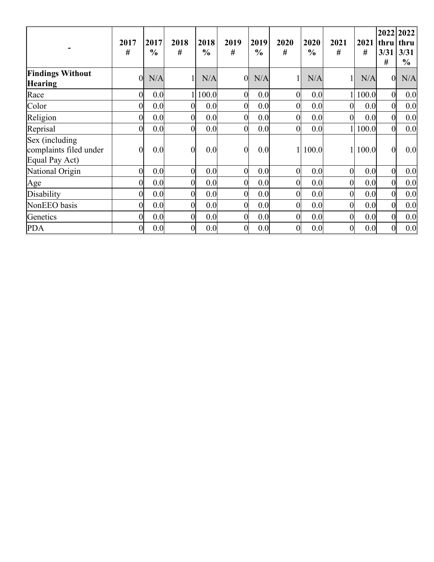|                                                            | 2017<br>#      | 2017<br>$\frac{6}{9}$ | 2018<br>#      | 2018<br>$\frac{6}{9}$ | 2019<br>#      | 2019<br>$\frac{6}{9}$ | 2020<br>#      | 2020<br>$\frac{6}{6}$ | 2021<br>#        | 2021<br># | 3/31<br>#        | 2022 2022<br>thru thru<br>3/31<br>$\frac{1}{2}$ |
|------------------------------------------------------------|----------------|-----------------------|----------------|-----------------------|----------------|-----------------------|----------------|-----------------------|------------------|-----------|------------------|-------------------------------------------------|
| <b>Findings Without</b><br><b>Hearing</b>                  | $\theta$       | N/A                   |                | N/A                   | $\overline{0}$ | N/A                   |                | N/A                   |                  | N/A       | $\overline{0}$   | N/A                                             |
| Race                                                       | $\overline{0}$ | 0.0                   |                | 1 100.0               | $\overline{0}$ | 0.0                   | $\overline{0}$ | 0.0                   |                  | 1 100.0   | $\overline{0}$   | 0.0                                             |
| Color                                                      | Ol             | 0.0                   | $\Omega$       | 0.0                   | $\overline{0}$ | 0.0                   | 0              | 0.0                   | $\overline{0}$   | 0.0       | $\overline{0}$   | 0.0                                             |
| Religion                                                   | 0              | 0.0                   | $\Omega$       | 0.0                   | $\overline{0}$ | 0.0                   | 0              | 0.0                   | $\overline{0}$   | 0.0       | $\overline{0}$   | 0.0                                             |
| Reprisal                                                   | Ωl             | 0.0                   | $\theta$       | 0.0                   | $\overline{0}$ | 0.0                   | 0              | 0.0                   |                  | 1 100.0   | $\overline{0}$   | 0.0                                             |
| Sex (including<br>complaints filed under<br>Equal Pay Act) | 0              | 0.0                   | $\overline{0}$ | 0.0                   | $\overline{0}$ | 0.0                   |                | 100.0                 |                  | 1 100.0   | $\overline{0}$   | 0.0                                             |
| National Origin                                            | 0              | 0.0                   | $\Omega$       | 0.0                   | 0              | 0.0                   | 0              | 0.0                   | $\overline{0}$   | 0.0       | $\overline{0}$   | 0.0                                             |
| Age                                                        | 0              | 0.0                   | O              | 0.0                   | 0              | 0.0                   | O              | 0.0                   | $\overline{0}$   | 0.0       | $\overline{0}$   | 0.0                                             |
| Disability                                                 | 0              | 0.0                   | $\Omega$       | 0.0                   | 0              | 0.0                   | 0              | 0.0                   | $\overline{0}$   | 0.0       | $\overline{0}$   | 0.0                                             |
| NonEEO basis                                               | 0              | 0.0                   | $\Omega$       | 0.0                   | 0              | 0.0                   | 0              | 0.0                   | $\overline{0}$   | 0.0       | $\overline{0}$   | 0.0                                             |
| Genetics                                                   | 0              | 0.0                   | $\Omega$       | 0.0                   | $\overline{0}$ | 0.0                   | 0              | 0.0                   | $\boldsymbol{0}$ | 0.0       | $\overline{0}$   | 0.0                                             |
| <b>PDA</b>                                                 | 0              | 0.0                   | 0              | 0.0                   | 0              | 0.0                   | 0              | 0.0                   | $\boldsymbol{0}$ | 0.0       | $\boldsymbol{0}$ | 0.0                                             |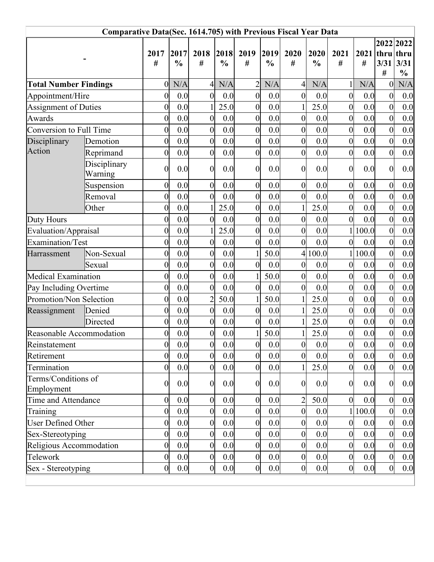|                                   | <b>Comparative Data(Sec. 1614.705) with Previous Fiscal Year Data</b> |                  |               |                  |               |                  |               |                  |               |                  |                  |                  |               |
|-----------------------------------|-----------------------------------------------------------------------|------------------|---------------|------------------|---------------|------------------|---------------|------------------|---------------|------------------|------------------|------------------|---------------|
|                                   |                                                                       | 2017             | 2017          | 2018             | 2018          | 2019             | 2019          | 2020             | 2020          | 2021             | $2021$ thru thru |                  | 2022 2022     |
|                                   |                                                                       | #                | $\frac{0}{0}$ | #                | $\frac{0}{0}$ | #                | $\frac{0}{0}$ | #                | $\frac{0}{0}$ | #                | #                | 3/31             | 3/31          |
|                                   |                                                                       |                  |               |                  |               |                  |               |                  |               |                  |                  | #                | $\frac{0}{0}$ |
| <b>Total Number Findings</b>      |                                                                       | $\theta$         | N/A           | 4                | N/A           | $\overline{2}$   | N/A           | $\overline{4}$   | N/A           | $\mathbf{1}$     | N/A              | 0                | N/A           |
| Appointment/Hire                  |                                                                       | $\overline{0}$   | 0.0           | $\overline{0}$   | 0.0           | $\overline{0}$   | 0.0           | $\overline{0}$   | 0.0           | $\boldsymbol{0}$ | 0.0              | $\boldsymbol{0}$ | 0.0           |
| <b>Assignment of Duties</b>       |                                                                       | 0                | 0.0           |                  | 25.0          | $\overline{0}$   | 0.0           |                  | 25.0          | $\boldsymbol{0}$ | 0.0              | $\boldsymbol{0}$ | 0.0           |
| Awards                            |                                                                       | $\overline{0}$   | 0.0           | $\overline{0}$   | 0.0           | $\overline{0}$   | 0.0           | $\overline{0}$   | 0.0           | $\overline{0}$   | 0.0              | $\mathbf{0}$     | 0.0           |
| Conversion to Full Time           |                                                                       | $\overline{0}$   | 0.0           | $\overline{0}$   | 0.0           | $\overline{0}$   | 0.0           | $\boldsymbol{0}$ | 0.0           | $\boldsymbol{0}$ | 0.0              | $\boldsymbol{0}$ | 0.0           |
| Disciplinary                      | Demotion                                                              | $\overline{0}$   | 0.0           | $\overline{0}$   | 0.0           | $\overline{0}$   | 0.0           | $\boldsymbol{0}$ | 0.0           | $\boldsymbol{0}$ | 0.0              | $\boldsymbol{0}$ | 0.0           |
| Action                            | Reprimand                                                             | $\boldsymbol{0}$ | 0.0           | $\overline{0}$   | 0.0           | $\overline{0}$   | 0.0           | $\overline{0}$   | 0.0           | $\boldsymbol{0}$ | 0.0              | $\overline{0}$   | 0.0           |
|                                   | Disciplinary<br>Warning                                               | $\boldsymbol{0}$ | 0.0           | $\overline{0}$   | 0.0           | $\overline{0}$   | 0.0           | $\boldsymbol{0}$ | 0.0           | $\boldsymbol{0}$ | 0.0              | $\boldsymbol{0}$ | 0.0           |
|                                   | Suspension                                                            | $\boldsymbol{0}$ | 0.0           | $\overline{0}$   | 0.0           | $\boldsymbol{0}$ | 0.0           | $\boldsymbol{0}$ | 0.0           | $\boldsymbol{0}$ | 0.0              | $\boldsymbol{0}$ | 0.0           |
|                                   | Removal                                                               | $\overline{0}$   | 0.0           | $\overline{0}$   | 0.0           | $\boldsymbol{0}$ | 0.0           | $\overline{0}$   | 0.0           | $\boldsymbol{0}$ | 0.0              | $\boldsymbol{0}$ | 0.0           |
|                                   | Other                                                                 | $\overline{0}$   | 0.0           |                  | 25.0          | $\overline{0}$   | 0.0           |                  | 25.0          | $\boldsymbol{0}$ | 0.0              | $\overline{0}$   | 0.0           |
| Duty Hours                        |                                                                       | $\overline{0}$   | 0.0           | $\overline{0}$   | 0.0           | $\overline{0}$   | 0.0           | $\overline{0}$   | 0.0           | $\mathbf{0}$     | 0.0              | $\overline{0}$   | 0.0           |
| Evaluation/Appraisal              |                                                                       | $\overline{0}$   | 0.0           |                  | 25.0          | $\overline{0}$   | 0.0           | $\boldsymbol{0}$ | 0.0           | $\mathbf{1}$     | 100.0            | $\boldsymbol{0}$ | 0.0           |
| Examination/Test                  |                                                                       | $\overline{0}$   | 0.0           | $\overline{0}$   | 0.0           | $\overline{0}$   | 0.0           | $\overline{0}$   | 0.0           | $\overline{0}$   | 0.0              | $\overline{0}$   | 0.0           |
| Harrassment                       | Non-Sexual                                                            | $\overline{0}$   | 0.0           | $\overline{0}$   | 0.0           | $\mathbf{1}$     | 50.0          |                  | 4 100.0       | $\mathbf{1}$     | 100.0            | $\overline{0}$   | 0.0           |
|                                   | Sexual                                                                | $\overline{0}$   | 0.0           | $\overline{0}$   | 0.0           | $\overline{0}$   | 0.0           | $\boldsymbol{0}$ | 0.0           | $\boldsymbol{0}$ | 0.0              | $\boldsymbol{0}$ | 0.0           |
| Medical Examination               |                                                                       | $\overline{0}$   | 0.0           | $\overline{0}$   | 0.0           | $\mathbf{1}$     | 50.0          | $\overline{0}$   | 0.0           | $\boldsymbol{0}$ | 0.0              | $\boldsymbol{0}$ | 0.0           |
| Pay Including Overtime            |                                                                       | $\overline{0}$   | 0.0           | $\overline{0}$   | 0.0           | $\overline{0}$   | 0.0           | $\overline{0}$   | 0.0           | $\boldsymbol{0}$ | 0.0              | $\boldsymbol{0}$ | 0.0           |
| Promotion/Non Selection           |                                                                       | $\overline{0}$   | 0.0           | $\overline{2}$   | 50.0          | $\mathbf{1}$     | 50.0          |                  | 25.0          | $\overline{0}$   | 0.0              | $\boldsymbol{0}$ | 0.0           |
| Reassignment                      | Denied                                                                | $\overline{0}$   | 0.0           | $\overline{0}$   | 0.0           | $\overline{0}$   | 0.0           |                  | 25.0          | $\boldsymbol{0}$ | 0.0              | $\boldsymbol{0}$ | 0.0           |
|                                   | Directed                                                              | $\overline{0}$   | 0.0           | $\overline{0}$   | 0.0           | $\overline{0}$   | 0.0           | 1                | 25.0          | $\boldsymbol{0}$ | 0.0              | $\overline{0}$   | 0.0           |
| Reasonable Accommodation          |                                                                       | $\overline{0}$   | 0.0           | $\overline{0}$   | 0.0           | $\mathbf{1}$     | 50.0          |                  | 25.0          | $\boldsymbol{0}$ | 0.0              | $\boldsymbol{0}$ | 0.0           |
| Reinstatement                     |                                                                       | $\boldsymbol{0}$ | 0.0           | $\boldsymbol{0}$ | $0.0\,$       | $\boldsymbol{0}$ | 0.0           | $\boldsymbol{0}$ | 0.0           | $\boldsymbol{0}$ | 0.0              | $\boldsymbol{0}$ | 0.0           |
| Retirement                        |                                                                       | $\overline{0}$   | 0.0           | $\boldsymbol{0}$ | 0.0           | $\overline{0}$   | 0.0           | $\overline{0}$   | 0.0           | $\overline{0}$   | 0.0              | $\overline{0}$   | 0.0           |
| Termination                       |                                                                       | $\boldsymbol{0}$ | 0.0           | $\boldsymbol{0}$ | 0.0           | $\overline{0}$   | 0.0           |                  | 25.0          | $\overline{0}$   | 0.0              | $\overline{0}$   | 0.0           |
| Terms/Conditions of<br>Employment |                                                                       | $\overline{0}$   | 0.0           | $\boldsymbol{0}$ | 0.0           | $\overline{0}$   | 0.0           | $\overline{0}$   | 0.0           | $\boldsymbol{0}$ | 0.0              | $\overline{0}$   | 0.0           |
| Time and Attendance               |                                                                       | $\boldsymbol{0}$ | 0.0           | $\boldsymbol{0}$ | 0.0           | $\boldsymbol{0}$ | 0.0           |                  | 50.0          | $\overline{0}$   | 0.0              | $\overline{0}$   | 0.0           |
| Training                          |                                                                       | $\overline{0}$   | 0.0           | $\boldsymbol{0}$ | 0.0           | $\overline{0}$   | 0.0           | $\overline{0}$   | 0.0           |                  | 1 100.0          | $\boldsymbol{0}$ | 0.0           |
| <b>User Defined Other</b>         |                                                                       | $\boldsymbol{0}$ | 0.0           | $\overline{0}$   | 0.0           | $\overline{0}$   | 0.0           | $\theta$         | 0.0           | $\overline{0}$   | 0.0              | $\boldsymbol{0}$ | 0.0           |
| Sex-Stereotyping                  |                                                                       | $\boldsymbol{0}$ | 0.0           | $\boldsymbol{0}$ | 0.0           | $\overline{0}$   | 0.0           | $\overline{0}$   | 0.0           | $\overline{0}$   | 0.0              | $\overline{0}$   | 0.0           |
| Religious Accommodation           |                                                                       | $\overline{0}$   | 0.0           | $\boldsymbol{0}$ | 0.0           | $\overline{0}$   | 0.0           | $\overline{0}$   | 0.0           | $\boldsymbol{0}$ | 0.0              | $\boldsymbol{0}$ | 0.0           |
| Telework                          |                                                                       | $\boldsymbol{0}$ | 0.0           | $\boldsymbol{0}$ | 0.0           | $\boldsymbol{0}$ | 0.0           | $\boldsymbol{0}$ | 0.0           | $\boldsymbol{0}$ | 0.0              | $\boldsymbol{0}$ | 0.0           |
| Sex - Stereotyping                |                                                                       | $\overline{0}$   | 0.0           | $\overline{0}$   | 0.0           | $\overline{0}$   | 0.0           | $\overline{0}$   | 0.0           | $\mathbf{0}$     | 0.0              | $\overline{0}$   | 0.0           |
|                                   |                                                                       |                  |               |                  |               |                  |               |                  |               |                  |                  |                  |               |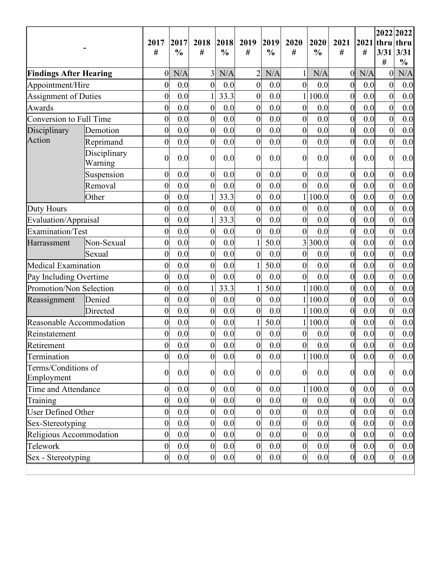|                                   |                         | 2017<br>$^{\#}$  | 2017<br>$\frac{0}{0}$ | 2018<br>#        | 2018<br>$\frac{0}{0}$ | 2019<br>#        | 2019<br>$\frac{0}{0}$ | 2020<br>#        | 2020<br>$\frac{0}{0}$ | 2021<br>#        | $2021$ thru<br># | 3/31<br>#        | 2022 2022<br>thru<br>3/31<br>$\frac{0}{0}$ |
|-----------------------------------|-------------------------|------------------|-----------------------|------------------|-----------------------|------------------|-----------------------|------------------|-----------------------|------------------|------------------|------------------|--------------------------------------------|
| <b>Findings After Hearing</b>     |                         | $\overline{0}$   | N/A                   | 3                | N/A                   | $\overline{2}$   | N/A                   | 1                | N/A                   | $\boldsymbol{0}$ | N/A              | $\overline{0}$   | N/A                                        |
| Appointment/Hire                  |                         | $\boldsymbol{0}$ | 0.0                   | $\overline{0}$   | 0.0                   | $\overline{0}$   | 0.0                   | $\overline{0}$   | 0.0                   | $\boldsymbol{0}$ | 0.0              | $\boldsymbol{0}$ | 0.0                                        |
| <b>Assignment of Duties</b>       |                         | $\overline{0}$   | 0.0                   |                  | 33.3                  | $\boldsymbol{0}$ | 0.0                   | $\mathbf{1}$     | 100.0                 | $\boldsymbol{0}$ | 0.0              | $\boldsymbol{0}$ | 0.0                                        |
| Awards                            |                         | $\boldsymbol{0}$ | 0.0                   | $\boldsymbol{0}$ | 0.0                   | $\boldsymbol{0}$ | 0.0                   | $\overline{0}$   | 0.0                   | $\boldsymbol{0}$ | 0.0              | $\boldsymbol{0}$ | 0.0                                        |
| Conversion to Full Time           |                         | $\overline{0}$   | 0.0                   | $\mathbf{0}$     | 0.0                   | $\boldsymbol{0}$ | 0.0                   | $\overline{0}$   | 0.0                   | $\boldsymbol{0}$ | 0.0              | $\mathbf{0}$     | 0.0                                        |
| Disciplinary                      | Demotion                | $\overline{0}$   | 0.0                   | $\boldsymbol{0}$ | 0.0                   | $\boldsymbol{0}$ | 0.0                   | $\overline{0}$   | 0.0                   | $\boldsymbol{0}$ | 0.0              | $\mathbf{0}$     | 0.0                                        |
| Action                            | Reprimand               | $\boldsymbol{0}$ | 0.0                   | $\boldsymbol{0}$ | 0.0                   | $\boldsymbol{0}$ | 0.0                   | $\overline{0}$   | 0.0                   | $\overline{0}$   | 0.0              | $\boldsymbol{0}$ | 0.0                                        |
|                                   | Disciplinary<br>Warning | $\overline{0}$   | 0.0                   | $\overline{0}$   | 0.0                   | $\boldsymbol{0}$ | 0.0                   | $\overline{0}$   | 0.0                   | $\overline{0}$   | 0.0              | $\overline{0}$   | 0.0                                        |
|                                   | Suspension              | $\overline{0}$   | 0.0                   | $\boldsymbol{0}$ | 0.0                   | $\boldsymbol{0}$ | 0.0                   | $\overline{0}$   | 0.0                   | $\boldsymbol{0}$ | 0.0              | $\overline{0}$   | 0.0                                        |
|                                   | Removal                 | $\overline{0}$   | 0.0                   | $\overline{0}$   | 0.0                   | $\boldsymbol{0}$ | 0.0                   | $\overline{0}$   | 0.0                   | $\boldsymbol{0}$ | 0.0              | $\overline{0}$   | 0.0                                        |
|                                   | Other                   | $\boldsymbol{0}$ | 0.0                   |                  | 33.3                  | $\boldsymbol{0}$ | 0.0                   | 1                | 100.0                 | $\boldsymbol{0}$ | 0.0              | $\boldsymbol{0}$ | 0.0                                        |
| Duty Hours                        |                         | $\overline{0}$   | 0.0                   | $\boldsymbol{0}$ | 0.0                   | $\overline{0}$   | 0.0                   | $\overline{0}$   | 0.0                   | $\boldsymbol{0}$ | 0.0              | $\overline{0}$   | 0.0                                        |
| Evaluation/Appraisal              |                         | $\overline{0}$   | 0.0                   |                  | 33.3                  | $\boldsymbol{0}$ | 0.0                   | $\overline{0}$   | 0.0                   | $\boldsymbol{0}$ | 0.0              | $\overline{0}$   | 0.0                                        |
| Examination/Test                  |                         | $\boldsymbol{0}$ | 0.0                   | $\boldsymbol{0}$ | 0.0                   | $\boldsymbol{0}$ | 0.0                   | $\overline{0}$   | 0.0                   | $\boldsymbol{0}$ | 0.0              | $\boldsymbol{0}$ | 0.0                                        |
| Harrassment                       | Non-Sexual              | $\overline{0}$   | 0.0                   | $\boldsymbol{0}$ | 0.0                   | $\mathbf{1}$     | 50.0                  | $\overline{3}$   | 300.0                 | $\boldsymbol{0}$ | 0.0              | $\overline{0}$   | 0.0                                        |
|                                   | Sexual                  | $\overline{0}$   | 0.0                   | $\boldsymbol{0}$ | 0.0                   | $\overline{0}$   | 0.0                   | $\overline{0}$   | 0.0                   | $\overline{0}$   | 0.0              | $\overline{0}$   | 0.0                                        |
| Medical Examination               |                         | $\boldsymbol{0}$ | 0.0                   | $\boldsymbol{0}$ | 0.0                   | 1                | 50.0                  | $\overline{0}$   | 0.0                   | $\boldsymbol{0}$ | 0.0              | $\boldsymbol{0}$ | 0.0                                        |
| Pay Including Overtime            |                         | $\overline{0}$   | 0.0                   | $\boldsymbol{0}$ | 0.0                   | $\boldsymbol{0}$ | 0.0                   | $\overline{0}$   | 0.0                   | $\boldsymbol{0}$ | 0.0              | $\boldsymbol{0}$ | 0.0                                        |
| Promotion/Non Selection           |                         | $\overline{0}$   | 0.0                   |                  | 33.3                  | $\mathbf{1}$     | 50.0                  | $\mathbf{1}$     | 100.0                 | $\boldsymbol{0}$ | 0.0              | $\overline{0}$   | 0.0                                        |
| Reassignment                      | Denied                  | $\boldsymbol{0}$ | 0.0                   | $\boldsymbol{0}$ | 0.0                   | $\boldsymbol{0}$ | 0.0                   | $\mathbf{1}$     | 100.0                 | $\boldsymbol{0}$ | 0.0              | $\boldsymbol{0}$ | 0.0                                        |
|                                   | Directed                | $\overline{0}$   | 0.0                   | $\boldsymbol{0}$ | 0.0                   | $\overline{0}$   | 0.0                   | $1\vert$         | 100.0                 | $\boldsymbol{0}$ | 0.0              | $\boldsymbol{0}$ | 0.0                                        |
| Reasonable Accommodation          |                         | $\overline{0}$   | 0.0                   | $\boldsymbol{0}$ | 0.0                   | $\mathbf{1}$     | 50.0                  | $\mathbf{1}$     | 100.0                 | $\boldsymbol{0}$ | 0.0              | $\overline{0}$   | 0.0                                        |
| Reinstatement                     |                         | $\boldsymbol{0}$ | 0.0                   | $\boldsymbol{0}$ | 0.0                   | $\boldsymbol{0}$ | 0.0                   | $\overline{0}$   | 0.0                   | $\boldsymbol{0}$ | 0.0              | $\boldsymbol{0}$ | 0.0                                        |
| Retirement                        |                         | $\boldsymbol{0}$ | 0.0                   | $\boldsymbol{0}$ | $0.0\,$               | $\boldsymbol{0}$ | 0.0                   | $\boldsymbol{0}$ | $0.0\,$               | $\boldsymbol{0}$ | $0.0\,$          | $\boldsymbol{0}$ | 0.0                                        |
| Termination                       |                         | $\overline{0}$   | 0.0                   | $\boldsymbol{0}$ | 0.0                   | $\overline{0}$   | 0.0                   |                  | 1 100.0               | $\mathbf{0}$     | 0.0              | $\overline{0}$   | 0.0                                        |
| Terms/Conditions of<br>Employment |                         | $\overline{0}$   | 0.0                   | $\boldsymbol{0}$ | 0.0                   | $\overline{0}$   | 0.0                   | $\boldsymbol{0}$ | 0.0                   | $\boldsymbol{0}$ | 0.0              | $\boldsymbol{0}$ | 0.0                                        |
| Time and Attendance               |                         | $\overline{0}$   | 0.0                   | $\overline{0}$   | 0.0                   | $\boldsymbol{0}$ | 0.0                   |                  | 1 100.0               | $\boldsymbol{0}$ | 0.0              | $\boldsymbol{0}$ | 0.0                                        |
| Training                          |                         | $\overline{0}$   | 0.0                   | $\boldsymbol{0}$ | 0.0                   | $\overline{0}$   | 0.0                   | $\boldsymbol{0}$ | 0.0                   | $\overline{0}$   | 0.0              | $\overline{0}$   | 0.0                                        |
| <b>User Defined Other</b>         |                         | $\overline{0}$   | 0.0                   | $\boldsymbol{0}$ | 0.0                   | $\boldsymbol{0}$ | 0.0                   | $\overline{0}$   | 0.0                   | $\boldsymbol{0}$ | 0.0              | $\boldsymbol{0}$ | 0.0                                        |
| Sex-Stereotyping                  |                         | $\boldsymbol{0}$ | 0.0                   | $\boldsymbol{0}$ | 0.0                   | $\boldsymbol{0}$ | 0.0                   | $\overline{0}$   | 0.0                   | $\boldsymbol{0}$ | 0.0              | $\boldsymbol{0}$ | 0.0                                        |
| Religious Accommodation           |                         | $\overline{0}$   | 0.0                   | $\boldsymbol{0}$ | 0.0                   | $\overline{0}$   | 0.0                   | $\boldsymbol{0}$ | 0.0                   | $\boldsymbol{0}$ | 0.0              | $\overline{0}$   | 0.0                                        |
| Telework                          |                         | $\overline{0}$   | 0.0                   | $\boldsymbol{0}$ | 0.0                   | $\boldsymbol{0}$ | 0.0                   | $\overline{0}$   | 0.0                   | $\boldsymbol{0}$ | 0.0              | $\boldsymbol{0}$ | 0.0                                        |
| Sex - Stereotyping                |                         | $\overline{0}$   | 0.0                   | $\overline{0}$   | 0.0                   | $\overline{0}$   | 0.0                   | $\boldsymbol{0}$ | 0.0                   | $\overline{0}$   | 0.0              | $\boldsymbol{0}$ | 0.0                                        |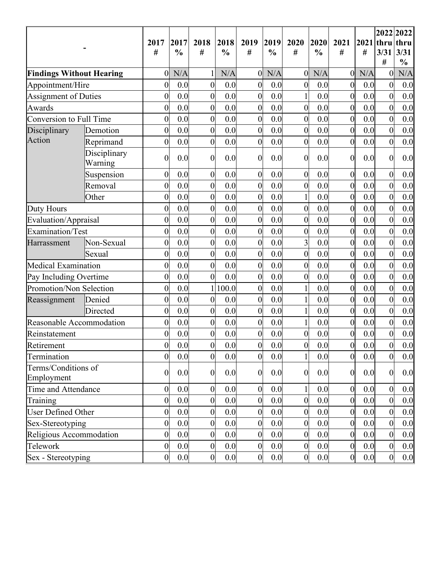|                                   |                         | 2017<br>#        | 2017<br>$\frac{0}{0}$ | 2018<br>#        | 2018<br>$\frac{0}{0}$ | 2019<br>#        | 2019<br>$\frac{0}{0}$ | 2020<br>#        | 2020<br>$\frac{0}{0}$ | 2021<br>#        | $2021$ thru<br># | 3/31                | 2022 2022<br>thru<br>3/31<br>$\frac{0}{0}$ |
|-----------------------------------|-------------------------|------------------|-----------------------|------------------|-----------------------|------------------|-----------------------|------------------|-----------------------|------------------|------------------|---------------------|--------------------------------------------|
| <b>Findings Without Hearing</b>   |                         | $\overline{0}$   | N/A                   |                  | N/A                   | $\boldsymbol{0}$ | N/A                   | $\overline{0}$   | N/A                   | $\boldsymbol{0}$ | N/A              | #<br>$\overline{0}$ | N/A                                        |
| Appointment/Hire                  |                         | $\overline{0}$   | 0.0                   | $\boldsymbol{0}$ | 0.0                   | $\boldsymbol{0}$ | 0.0                   | $\overline{0}$   | 0.0                   | $\boldsymbol{0}$ | 0.0              | $\overline{0}$      | 0.0                                        |
| <b>Assignment of Duties</b>       |                         | $\overline{0}$   | 0.0                   | $\boldsymbol{0}$ | 0.0                   | $\boldsymbol{0}$ | 0.0                   |                  | 0.0                   | $\overline{0}$   | 0.0              | $\overline{0}$      | 0.0                                        |
| Awards                            |                         | $\overline{0}$   | 0.0                   | $\boldsymbol{0}$ | 0.0                   | $\boldsymbol{0}$ | 0.0                   | $\boldsymbol{0}$ | 0.0                   | $\boldsymbol{0}$ | 0.0              | $\boldsymbol{0}$    | 0.0                                        |
| Conversion to Full Time           |                         | $\overline{0}$   | 0.0                   | $\boldsymbol{0}$ | 0.0                   | $\overline{0}$   | 0.0                   | $\overline{0}$   | 0.0                   | $\boldsymbol{0}$ | 0.0              | $\overline{0}$      | 0.0                                        |
| Disciplinary                      | Demotion                | $\overline{0}$   | 0.0                   | $\boldsymbol{0}$ | 0.0                   | $\overline{0}$   | 0.0                   | $\overline{0}$   | 0.0                   | $\boldsymbol{0}$ | 0.0              | $\overline{0}$      | 0.0                                        |
| Action                            | Reprimand               | $\overline{0}$   | 0.0                   | $\mathbf{0}$     | 0.0                   | $\boldsymbol{0}$ | 0.0                   | $\overline{0}$   | 0.0                   | $\overline{0}$   | 0.0              | $\overline{0}$      | 0.0                                        |
|                                   | Disciplinary<br>Warning | $\overline{0}$   | 0.0                   | $\boldsymbol{0}$ | 0.0                   | $\boldsymbol{0}$ | 0.0                   | $\overline{0}$   | 0.0                   | $\overline{0}$   | 0.0              | $\overline{0}$      | 0.0                                        |
|                                   | Suspension              | $\boldsymbol{0}$ | 0.0                   | $\boldsymbol{0}$ | 0.0                   | $\overline{0}$   | 0.0                   | $\overline{0}$   | 0.0                   | $\boldsymbol{0}$ | 0.0              | $\overline{0}$      | 0.0                                        |
|                                   | Removal                 | $\overline{0}$   | 0.0                   | $\boldsymbol{0}$ | 0.0                   | $\boldsymbol{0}$ | 0.0                   | $\boldsymbol{0}$ | 0.0                   | $\boldsymbol{0}$ | 0.0              | $\overline{0}$      | 0.0                                        |
|                                   | Other                   | $\overline{0}$   | 0.0                   | $\boldsymbol{0}$ | 0.0                   | $\boldsymbol{0}$ | 0.0                   |                  | 0.0                   | $\boldsymbol{0}$ | 0.0              | $\boldsymbol{0}$    | 0.0                                        |
| Duty Hours                        |                         | $\overline{0}$   | 0.0                   | $\boldsymbol{0}$ | 0.0                   | $\boldsymbol{0}$ | 0.0                   | $\overline{0}$   | 0.0                   | $\boldsymbol{0}$ | 0.0              | $\boldsymbol{0}$    | 0.0                                        |
| Evaluation/Appraisal              |                         | $\overline{0}$   | 0.0                   | $\boldsymbol{0}$ | 0.0                   | $\boldsymbol{0}$ | 0.0                   | $\boldsymbol{0}$ | 0.0                   | $\overline{0}$   | 0.0              | $\overline{0}$      | 0.0                                        |
| Examination/Test                  |                         | $\overline{0}$   | 0.0                   | $\boldsymbol{0}$ | 0.0                   | $\boldsymbol{0}$ | 0.0                   | $\boldsymbol{0}$ | 0.0                   | $\boldsymbol{0}$ | 0.0              | $\boldsymbol{0}$    | 0.0                                        |
| Harrassment                       | Non-Sexual              | $\overline{0}$   | 0.0                   | $\boldsymbol{0}$ | 0.0                   | $\boldsymbol{0}$ | 0.0                   | 3                | 0.0                   | $\mathbf{0}$     | 0.0              | $\boldsymbol{0}$    | 0.0                                        |
|                                   | Sexual                  | $\overline{0}$   | 0.0                   | $\boldsymbol{0}$ | 0.0                   | $\overline{0}$   | 0.0                   | $\mathbf{0}$     | 0.0                   | $\boldsymbol{0}$ | 0.0              | $\overline{0}$      | 0.0                                        |
| Medical Examination               |                         | $\overline{0}$   | 0.0                   | $\boldsymbol{0}$ | 0.0                   | $\boldsymbol{0}$ | 0.0                   | $\boldsymbol{0}$ | 0.0                   | $\boldsymbol{0}$ | 0.0              | $\boldsymbol{0}$    | 0.0                                        |
| Pay Including Overtime            |                         | $\overline{0}$   | 0.0                   | $\boldsymbol{0}$ | 0.0                   | $\overline{0}$   | 0.0                   | $\overline{0}$   | 0.0                   | $\boldsymbol{0}$ | 0.0              | $\boldsymbol{0}$    | 0.0                                        |
| Promotion/Non Selection           |                         | $\overline{0}$   | 0.0                   |                  | 100.0                 | $\overline{0}$   | 0.0                   |                  | 0.0                   | $\boldsymbol{0}$ | 0.0              | $\overline{0}$      | 0.0                                        |
| Reassignment                      | Denied                  | $\overline{0}$   | 0.0                   | $\boldsymbol{0}$ | 0.0                   | $\boldsymbol{0}$ | 0.0                   |                  | 0.0                   | $\boldsymbol{0}$ | 0.0              | $\boldsymbol{0}$    | 0.0                                        |
|                                   | Directed                | $\overline{0}$   | 0.0                   | $\boldsymbol{0}$ | 0.0                   | $\boldsymbol{0}$ | 0.0                   |                  | 0.0                   | $\overline{0}$   | 0.0              | $\boldsymbol{0}$    | 0.0                                        |
| Reasonable Accommodation          |                         | $\overline{0}$   | 0.0                   | $\boldsymbol{0}$ | 0.0                   | $\boldsymbol{0}$ | 0.0                   |                  | 0.0                   | $\boldsymbol{0}$ | 0.0              | $\boldsymbol{0}$    | 0.0                                        |
| Reinstatement                     |                         | $\overline{0}$   | 0.0                   | $\boldsymbol{0}$ | 0.0                   | $\boldsymbol{0}$ | 0.0                   | $\overline{0}$   | 0.0                   | $\boldsymbol{0}$ | $0.0\,$          | $\boldsymbol{0}$    | 0.0                                        |
| Retirement                        |                         | $\boldsymbol{0}$ | 0.0                   | $\boldsymbol{0}$ | 0.0                   | $\overline{0}$   | 0.0                   | $\boldsymbol{0}$ | $0.0\,$               | $\boldsymbol{0}$ | 0.0              | $\boldsymbol{0}$    | 0.0                                        |
| Termination                       |                         | $\overline{0}$   | 0.0                   | $\boldsymbol{0}$ | 0.0                   | $\overline{0}$   | 0.0                   | $\mathbf{1}$     | 0.0                   | $\overline{0}$   | 0.0              | $\overline{0}$      | 0.0                                        |
| Terms/Conditions of<br>Employment |                         | $\overline{0}$   | 0.0                   | $\boldsymbol{0}$ | 0.0                   | $\boldsymbol{0}$ | 0.0                   | $\boldsymbol{0}$ | 0.0                   | $\boldsymbol{0}$ | 0.0              | $\boldsymbol{0}$    | 0.0                                        |
| Time and Attendance               |                         | $\overline{0}$   | 0.0                   | $\boldsymbol{0}$ | 0.0                   | $\boldsymbol{0}$ | 0.0                   |                  | 0.0                   | $\boldsymbol{0}$ | 0.0              | $\boldsymbol{0}$    | 0.0                                        |
| Training                          |                         | $\overline{0}$   | 0.0                   | $\boldsymbol{0}$ | 0.0                   | $\boldsymbol{0}$ | 0.0                   | $\overline{0}$   | 0.0                   | $\boldsymbol{0}$ | 0.0              | $\overline{0}$      | 0.0                                        |
| <b>User Defined Other</b>         |                         | $\overline{0}$   | 0.0                   | $\boldsymbol{0}$ | 0.0                   | $\boldsymbol{0}$ | 0.0                   | $\overline{0}$   | 0.0                   | $\boldsymbol{0}$ | 0.0              | $\overline{0}$      | 0.0                                        |
| Sex-Stereotyping                  |                         | $\boldsymbol{0}$ | 0.0                   | $\boldsymbol{0}$ | 0.0                   | $\boldsymbol{0}$ | 0.0                   | $\overline{0}$   | 0.0                   | $\boldsymbol{0}$ | 0.0              | $\boldsymbol{0}$    | 0.0                                        |
| Religious Accommodation           |                         | $\overline{0}$   | 0.0                   | $\boldsymbol{0}$ | 0.0                   | $\boldsymbol{0}$ | 0.0                   | $\overline{0}$   | 0.0                   | $\mathbf{0}$     | 0.0              | $\overline{0}$      | 0.0                                        |
| Telework                          |                         | $\overline{0}$   | 0.0                   | $\boldsymbol{0}$ | 0.0                   | $\boldsymbol{0}$ | 0.0                   | $\mathbf{0}$     | 0.0                   | $\boldsymbol{0}$ | 0.0              | $\boldsymbol{0}$    | 0.0                                        |
| Sex - Stereotyping                |                         | $\overline{0}$   | 0.0                   | $\overline{0}$   | 0.0                   | $\boldsymbol{0}$ | 0.0                   | $\boldsymbol{0}$ | 0.0                   | $\overline{0}$   | 0.0              | $\boldsymbol{0}$    | 0.0                                        |